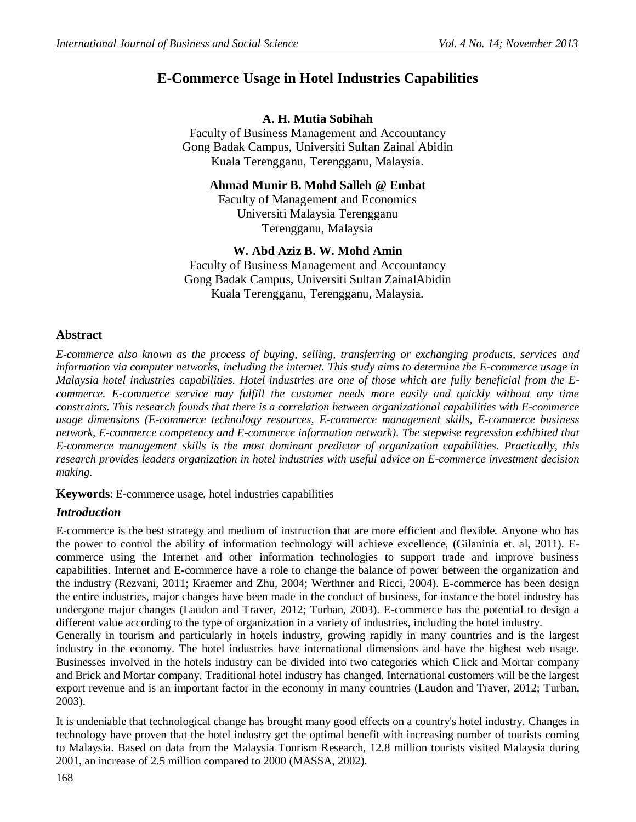# **E-Commerce Usage in Hotel Industries Capabilities**

# **A. H. Mutia Sobihah**

Faculty of Business Management and Accountancy Gong Badak Campus, Universiti Sultan Zainal Abidin Kuala Terengganu, Terengganu, Malaysia.

## **Ahmad Munir B. Mohd Salleh @ Embat**

Faculty of Management and Economics Universiti Malaysia Terengganu Terengganu, Malaysia

# **W. Abd Aziz B. W. Mohd Amin**

Faculty of Business Management and Accountancy Gong Badak Campus, Universiti Sultan ZainalAbidin Kuala Terengganu, Terengganu, Malaysia.

# **Abstract**

*E-commerce also known as the process of buying, selling, transferring or exchanging products, services and information via computer networks, including the internet. This study aims to determine the E-commerce usage in Malaysia hotel industries capabilities. Hotel industries are one of those which are fully beneficial from the Ecommerce. E-commerce service may fulfill the customer needs more easily and quickly without any time constraints. This research founds that there is a correlation between organizational capabilities with E-commerce usage dimensions (E-commerce technology resources, E-commerce management skills, E-commerce business network, E-commerce competency and E-commerce information network). The stepwise regression exhibited that E-commerce management skills is the most dominant predictor of organization capabilities. Practically, this research provides leaders organization in hotel industries with useful advice on E-commerce investment decision making.*

**Keywords**: E-commerce usage, hotel industries capabilities

# *Introduction*

E-commerce is the best strategy and medium of instruction that are more efficient and flexible. Anyone who has the power to control the ability of information technology will achieve excellence, (Gilaninia et. al, 2011). Ecommerce using the Internet and other information technologies to support trade and improve business capabilities. Internet and E-commerce have a role to change the balance of power between the organization and the industry (Rezvani, 2011; Kraemer and Zhu, 2004; Werthner and Ricci, 2004). E-commerce has been design the entire industries, major changes have been made in the conduct of business, for instance the hotel industry has undergone major changes (Laudon and Traver, 2012; Turban, 2003). E-commerce has the potential to design a different value according to the type of organization in a variety of industries, including the hotel industry. Generally in tourism and particularly in hotels industry, growing rapidly in many countries and is the largest industry in the economy. The hotel industries have international dimensions and have the highest web usage. Businesses involved in the hotels industry can be divided into two categories which Click and Mortar company and Brick and Mortar company. Traditional hotel industry has changed. International customers will be the largest export revenue and is an important factor in the economy in many countries (Laudon and Traver, 2012; Turban, 2003).

It is undeniable that technological change has brought many good effects on a country's hotel industry. Changes in technology have proven that the hotel industry get the optimal benefit with increasing number of tourists coming to Malaysia. Based on data from the Malaysia Tourism Research, 12.8 million tourists visited Malaysia during 2001, an increase of 2.5 million compared to 2000 (MASSA, 2002).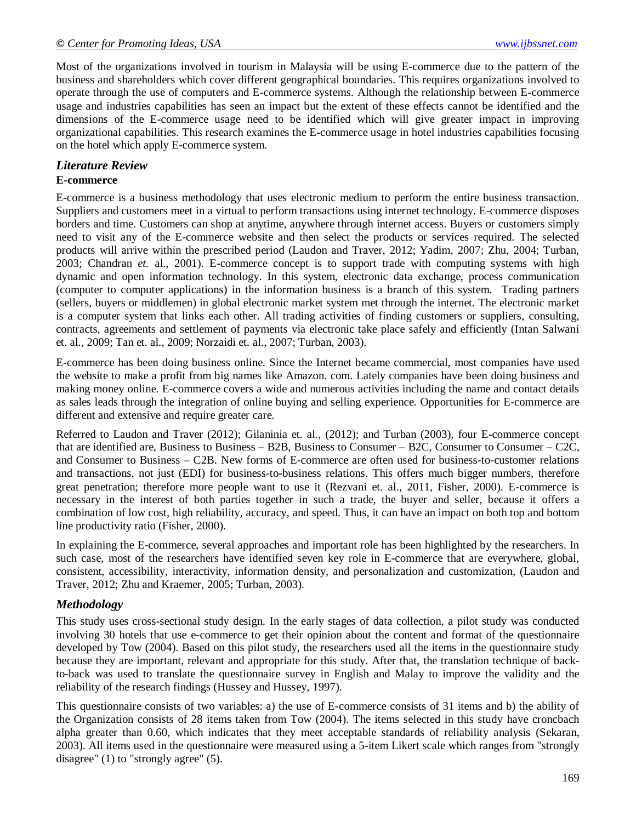Most of the organizations involved in tourism in Malaysia will be using E-commerce due to the pattern of the business and shareholders which cover different geographical boundaries. This requires organizations involved to operate through the use of computers and E-commerce systems. Although the relationship between E-commerce usage and industries capabilities has seen an impact but the extent of these effects cannot be identified and the dimensions of the E-commerce usage need to be identified which will give greater impact in improving organizational capabilities. This research examines the E-commerce usage in hotel industries capabilities focusing on the hotel which apply E-commerce system.

# *Literature Review*

## **E-commerce**

E-commerce is a business methodology that uses electronic medium to perform the entire business transaction. Suppliers and customers meet in a virtual to perform transactions using internet technology. E-commerce disposes borders and time. Customers can shop at anytime, anywhere through internet access. Buyers or customers simply need to visit any of the E-commerce website and then select the products or services required. The selected products will arrive within the prescribed period (Laudon and Traver, 2012; Yadim, 2007; Zhu, 2004; Turban, 2003; Chandran *et.* al., 2001). E-commerce concept is to support trade with computing systems with high dynamic and open information technology. In this system, electronic data exchange, process communication (computer to computer applications) in the information business is a branch of this system. Trading partners (sellers, buyers or middlemen) in global electronic market system met through the internet. The electronic market is a computer system that links each other. All trading activities of finding customers or suppliers, consulting, contracts, agreements and settlement of payments via electronic take place safely and efficiently (Intan Salwani et. al., 2009; Tan et. al., 2009; Norzaidi et. al., 2007; Turban, 2003).

E-commerce has been doing business online. Since the Internet became commercial, most companies have used the website to make a profit from big names like Amazon. com. Lately companies have been doing business and making money online. E-commerce covers a wide and numerous activities including the name and contact details as sales leads through the integration of online buying and selling experience. Opportunities for E-commerce are different and extensive and require greater care.

Referred to Laudon and Traver (2012); Gilaninia et. al., (2012); and Turban (2003), four E-commerce concept that are identified are, Business to Business – B2B, Business to Consumer – B2C, Consumer to Consumer – C2C, and Consumer to Business – C2B. New forms of E-commerce are often used for business-to-customer relations and transactions, not just (EDI) for business-to-business relations. This offers much bigger numbers, therefore great penetration; therefore more people want to use it (Rezvani et. al., 2011, Fisher, 2000). E-commerce is necessary in the interest of both parties together in such a trade, the buyer and seller, because it offers a combination of low cost, high reliability, accuracy, and speed. Thus, it can have an impact on both top and bottom line productivity ratio (Fisher, 2000).

In explaining the E-commerce, several approaches and important role has been highlighted by the researchers. In such case, most of the researchers have identified seven key role in E-commerce that are everywhere, global, consistent, accessibility, interactivity, information density, and personalization and customization, (Laudon and Traver, 2012; Zhu and Kraemer, 2005; Turban, 2003).

# *Methodology*

This study uses cross-sectional study design. In the early stages of data collection, a pilot study was conducted involving 30 hotels that use e-commerce to get their opinion about the content and format of the questionnaire developed by Tow (2004). Based on this pilot study, the researchers used all the items in the questionnaire study because they are important, relevant and appropriate for this study. After that, the translation technique of backto-back was used to translate the questionnaire survey in English and Malay to improve the validity and the reliability of the research findings (Hussey and Hussey, 1997).

This questionnaire consists of two variables: a) the use of E-commerce consists of 31 items and b) the ability of the Organization consists of 28 items taken from Tow (2004). The items selected in this study have croncbach alpha greater than 0.60, which indicates that they meet acceptable standards of reliability analysis (Sekaran, 2003). All items used in the questionnaire were measured using a 5-item Likert scale which ranges from "strongly disagree" (1) to "strongly agree" (5).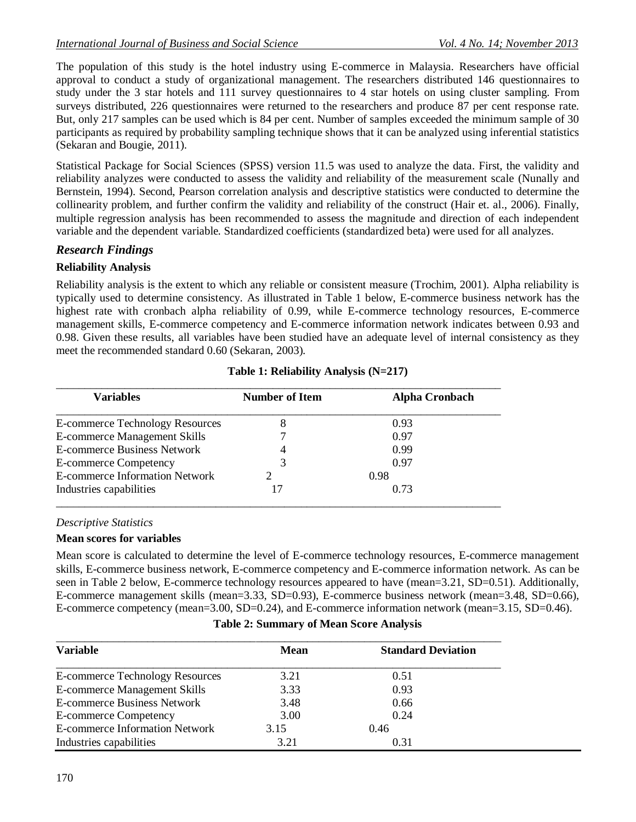The population of this study is the hotel industry using E-commerce in Malaysia. Researchers have official approval to conduct a study of organizational management. The researchers distributed 146 questionnaires to study under the 3 star hotels and 111 survey questionnaires to 4 star hotels on using cluster sampling. From surveys distributed, 226 questionnaires were returned to the researchers and produce 87 per cent response rate. But, only 217 samples can be used which is 84 per cent. Number of samples exceeded the minimum sample of 30 participants as required by probability sampling technique shows that it can be analyzed using inferential statistics (Sekaran and Bougie, 2011).

Statistical Package for Social Sciences (SPSS) version 11.5 was used to analyze the data. First, the validity and reliability analyzes were conducted to assess the validity and reliability of the measurement scale (Nunally and Bernstein, 1994). Second, Pearson correlation analysis and descriptive statistics were conducted to determine the collinearity problem, and further confirm the validity and reliability of the construct (Hair et. al., 2006). Finally, multiple regression analysis has been recommended to assess the magnitude and direction of each independent variable and the dependent variable. Standardized coefficients (standardized beta) were used for all analyzes.

# *Research Findings*

## **Reliability Analysis**

Reliability analysis is the extent to which any reliable or consistent measure (Trochim, 2001). Alpha reliability is typically used to determine consistency. As illustrated in Table 1 below, E-commerce business network has the highest rate with cronbach alpha reliability of 0.99, while E-commerce technology resources, E-commerce management skills, E-commerce competency and E-commerce information network indicates between 0.93 and 0.98. Given these results, all variables have been studied have an adequate level of internal consistency as they meet the recommended standard 0.60 (Sekaran, 2003).

| Variables                              | <b>Number of Item</b> | <b>Alpha Cronbach</b> |  |
|----------------------------------------|-----------------------|-----------------------|--|
| <b>E-commerce Technology Resources</b> | 8                     | 0.93                  |  |
| <b>E-commerce Management Skills</b>    |                       | 0.97                  |  |
| <b>E-commerce Business Network</b>     |                       | 0.99                  |  |
| <b>E-commerce Competency</b>           |                       | 0.97                  |  |
| <b>E-commerce Information Network</b>  |                       | 0.98                  |  |
| Industries capabilities                |                       | 0.73                  |  |

## **Table 1: Reliability Analysis (N=217)**

## *Descriptive Statistics*

## **Mean scores for variables**

Mean score is calculated to determine the level of E-commerce technology resources, E-commerce management skills, E-commerce business network, E-commerce competency and E-commerce information network. As can be seen in Table 2 below, E-commerce technology resources appeared to have (mean=3.21, SD=0.51). Additionally, E-commerce management skills (mean=3.33, SD=0.93), E-commerce business network (mean=3.48, SD=0.66), E-commerce competency (mean=3.00, SD=0.24), and E-commerce information network (mean=3.15, SD=0.46).

| <b>Variable</b>                        | <b>Mean</b> | <b>Standard Deviation</b> |  |  |
|----------------------------------------|-------------|---------------------------|--|--|
|                                        |             |                           |  |  |
| <b>E-commerce Technology Resources</b> | 3.21        | 0.51                      |  |  |
| <b>E-commerce Management Skills</b>    | 3.33        | 0.93                      |  |  |
| <b>E-commerce Business Network</b>     | 3.48        | 0.66                      |  |  |
| <b>E-commerce Competency</b>           | 3.00        | 0.24                      |  |  |
| <b>E-commerce Information Network</b>  | 3.15        | 0.46                      |  |  |
| Industries capabilities                | 3.21        | 0.31                      |  |  |

## **Table 2: Summary of Mean Score Analysis**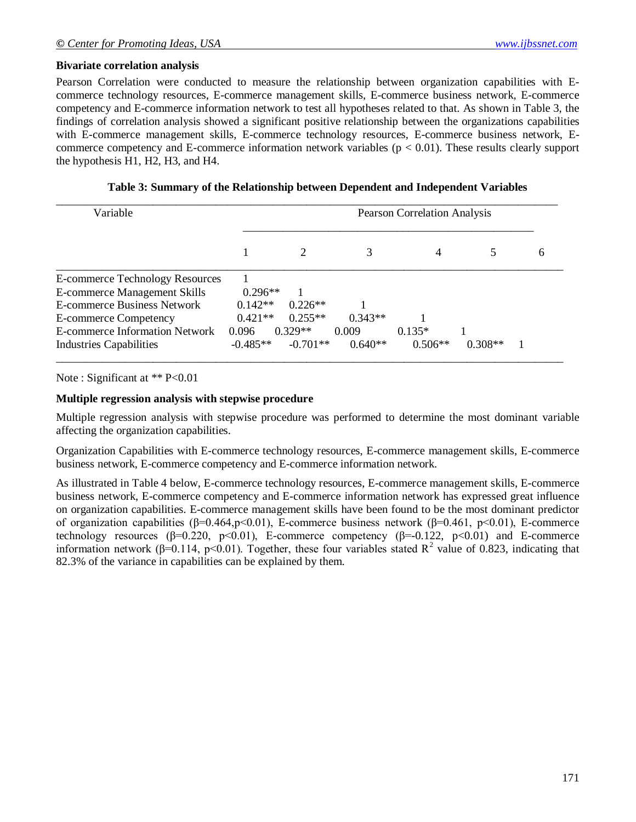## **Bivariate correlation analysis**

Pearson Correlation were conducted to measure the relationship between organization capabilities with Ecommerce technology resources, E-commerce management skills, E-commerce business network, E-commerce competency and E-commerce information network to test all hypotheses related to that. As shown in Table 3, the findings of correlation analysis showed a significant positive relationship between the organizations capabilities with E-commerce management skills, E-commerce technology resources, E-commerce business network, Ecommerce competency and E-commerce information network variables ( $p < 0.01$ ). These results clearly support the hypothesis H1, H2, H3, and H4.

**Table 3: Summary of the Relationship between Dependent and Independent Variables**

| Variable                            | <b>Pearson Correlation Analysis</b> |            |           |           |           |   |
|-------------------------------------|-------------------------------------|------------|-----------|-----------|-----------|---|
|                                     |                                     |            |           | 4         |           | 6 |
| E-commerce Technology Resources     |                                     |            |           |           |           |   |
| <b>E-commerce Management Skills</b> | $0.296**$                           |            |           |           |           |   |
| <b>E-commerce Business Network</b>  | $0.142**$                           | $0.226**$  |           |           |           |   |
| <b>E-commerce Competency</b>        | $0.421**$                           | $0.255**$  | $0.343**$ |           |           |   |
| E-commerce Information Network      | 0.096                               | $0.329**$  | 0.009     | $0.135*$  |           |   |
| <b>Industries Capabilities</b>      | $-0.485**$                          | $-0.701**$ | $0.640**$ | $0.506**$ | $0.308**$ |   |

Note : Significant at \*\* P<0.01

#### **Multiple regression analysis with stepwise procedure**

Multiple regression analysis with stepwise procedure was performed to determine the most dominant variable affecting the organization capabilities.

Organization Capabilities with E-commerce technology resources, E-commerce management skills, E-commerce business network, E-commerce competency and E-commerce information network.

As illustrated in Table 4 below, E-commerce technology resources, E-commerce management skills, E-commerce business network, E-commerce competency and E-commerce information network has expressed great influence on organization capabilities. E-commerce management skills have been found to be the most dominant predictor of organization capabilities (β=0.464,p<0.01), E-commerce business network (β=0.461, p<0.01), E-commerce technology resources ( $\beta$ =0.220, p<0.01), E-commerce competency ( $\beta$ =-0.122, p<0.01) and E-commerce information network (β=0.114, p<0.01). Together, these four variables stated R<sup>2</sup> value of 0.823, indicating that 82.3% of the variance in capabilities can be explained by them.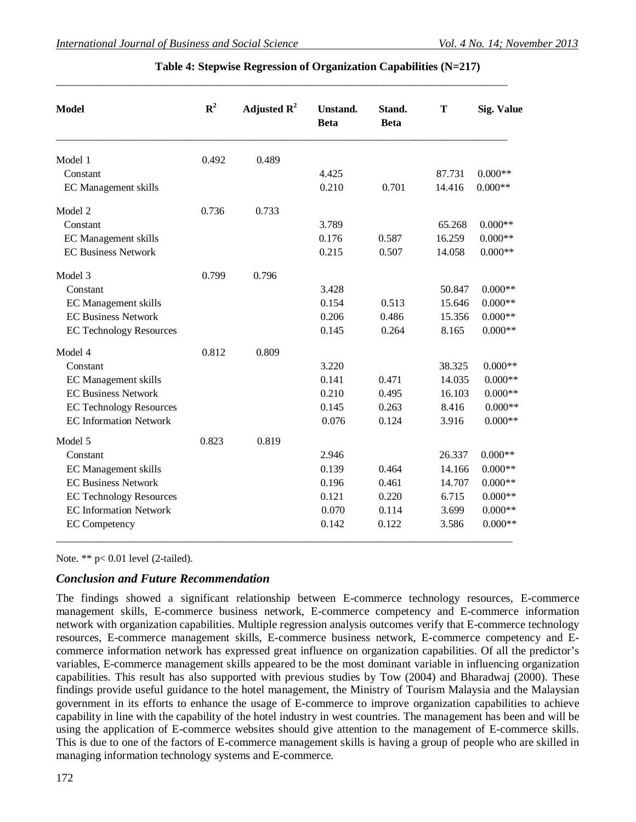| <b>Model</b>                   | ${\bf R}^2$ | Adjusted $\mathbf{R}^2$ | Unstand.<br><b>Beta</b> | Stand.<br><b>Beta</b> | T      | <b>Sig. Value</b> |
|--------------------------------|-------------|-------------------------|-------------------------|-----------------------|--------|-------------------|
| Model 1                        | 0.492       | 0.489                   |                         |                       |        |                   |
| Constant                       |             |                         | 4.425                   |                       | 87.731 | $0.000**$         |
| EC Management skills           |             |                         | 0.210                   | 0.701                 | 14.416 | $0.000**$         |
| Model 2                        | 0.736       | 0.733                   |                         |                       |        |                   |
| Constant                       |             |                         | 3.789                   |                       | 65.268 | $0.000**$         |
| EC Management skills           |             |                         | 0.176                   | 0.587                 | 16.259 | $0.000**$         |
| <b>EC Business Network</b>     |             |                         | 0.215                   | 0.507                 | 14.058 | $0.000**$         |
| Model 3                        | 0.799       | 0.796                   |                         |                       |        |                   |
| Constant                       |             |                         | 3.428                   |                       | 50.847 | $0.000**$         |
| <b>EC</b> Management skills    |             |                         | 0.154                   | 0.513                 | 15.646 | $0.000**$         |
| <b>EC Business Network</b>     |             |                         | 0.206                   | 0.486                 | 15.356 | $0.000**$         |
| <b>EC Technology Resources</b> |             |                         | 0.145                   | 0.264                 | 8.165  | $0.000**$         |
| Model 4                        | 0.812       | 0.809                   |                         |                       |        |                   |
| Constant                       |             |                         | 3.220                   |                       | 38.325 | $0.000**$         |
| EC Management skills           |             |                         | 0.141                   | 0.471                 | 14.035 | $0.000**$         |
| <b>EC Business Network</b>     |             |                         | 0.210                   | 0.495                 | 16.103 | $0.000**$         |
| <b>EC Technology Resources</b> |             |                         | 0.145                   | 0.263                 | 8.416  | $0.000**$         |
| <b>EC</b> Information Network  |             |                         | 0.076                   | 0.124                 | 3.916  | $0.000**$         |
| Model 5                        | 0.823       | 0.819                   |                         |                       |        |                   |
| Constant                       |             |                         | 2.946                   |                       | 26.337 | $0.000**$         |
| <b>EC</b> Management skills    |             |                         | 0.139                   | 0.464                 | 14.166 | $0.000**$         |
| <b>EC Business Network</b>     |             |                         | 0.196                   | 0.461                 | 14.707 | $0.000**$         |
| <b>EC Technology Resources</b> |             |                         | 0.121                   | 0.220                 | 6.715  | $0.000**$         |
| <b>EC Information Network</b>  |             |                         | 0.070                   | 0.114                 | 3.699  | $0.000**$         |
| <b>EC</b> Competency           |             |                         | 0.142                   | 0.122                 | 3.586  | $0.000**$         |

## **Table 4: Stepwise Regression of Organization Capabilities (N=217)**

\_\_\_\_\_\_\_\_\_\_\_\_\_\_\_\_\_\_\_\_\_\_\_\_\_\_\_\_\_\_\_\_\_\_\_\_\_\_\_\_\_\_\_\_\_\_\_\_\_\_\_\_\_\_\_\_\_\_\_\_\_\_\_\_\_\_\_\_\_\_\_\_\_\_\_\_\_\_\_\_\_\_\_\_\_\_\_

Note. \*\* p< 0.01 level (2-tailed).

## *Conclusion and Future Recommendation*

The findings showed a significant relationship between E-commerce technology resources, E-commerce management skills, E-commerce business network, E-commerce competency and E-commerce information network with organization capabilities. Multiple regression analysis outcomes verify that E-commerce technology resources, E-commerce management skills, E-commerce business network, E-commerce competency and Ecommerce information network has expressed great influence on organization capabilities. Of all the predictor's variables, E-commerce management skills appeared to be the most dominant variable in influencing organization capabilities. This result has also supported with previous studies by Tow (2004) and Bharadwaj (2000). These findings provide useful guidance to the hotel management, the Ministry of Tourism Malaysia and the Malaysian government in its efforts to enhance the usage of E-commerce to improve organization capabilities to achieve capability in line with the capability of the hotel industry in west countries. The management has been and will be using the application of E-commerce websites should give attention to the management of E-commerce skills. This is due to one of the factors of E-commerce management skills is having a group of people who are skilled in managing information technology systems and E-commerce.